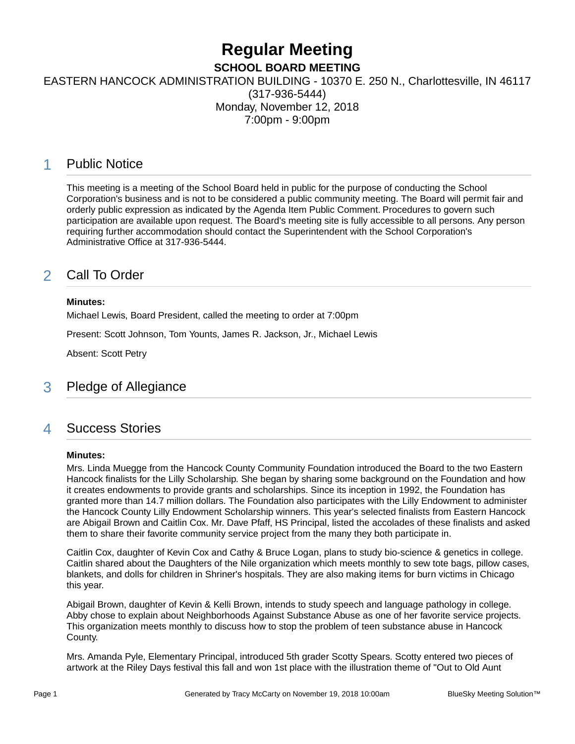# **Regular Meeting**

**SCHOOL BOARD MEETING**

EASTERN HANCOCK ADMINISTRATION BUILDING - 10370 E. 250 N., Charlottesville, IN 46117

(317-936-5444) Monday, November 12, 2018 7:00pm - 9:00pm

# 1 Public Notice

This meeting is a meeting of the School Board held in public for the purpose of conducting the School Corporation's business and is not to be considered a public community meeting. The Board will permit fair and orderly public expression as indicated by the Agenda Item Public Comment. Procedures to govern such participation are available upon request. The Board's meeting site is fully accessible to all persons. Any person requiring further accommodation should contact the Superintendent with the School Corporation's Administrative Office at 317-936-5444.

# 2 Call To Order

### **Minutes:**

Michael Lewis, Board President, called the meeting to order at 7:00pm

Present: Scott Johnson, Tom Younts, James R. Jackson, Jr., Michael Lewis

Absent: Scott Petry

# 3 Pledge of Allegiance

### 4 Success Stories

### **Minutes:**

Mrs. Linda Muegge from the Hancock County Community Foundation introduced the Board to the two Eastern Hancock finalists for the Lilly Scholarship. She began by sharing some background on the Foundation and how it creates endowments to provide grants and scholarships. Since its inception in 1992, the Foundation has granted more than 14.7 million dollars. The Foundation also participates with the Lilly Endowment to administer the Hancock County Lilly Endowment Scholarship winners. This year's selected finalists from Eastern Hancock are Abigail Brown and Caitlin Cox. Mr. Dave Pfaff, HS Principal, listed the accolades of these finalists and asked them to share their favorite community service project from the many they both participate in.

Caitlin Cox, daughter of Kevin Cox and Cathy & Bruce Logan, plans to study bio-science & genetics in college. Caitlin shared about the Daughters of the Nile organization which meets monthly to sew tote bags, pillow cases, blankets, and dolls for children in Shriner's hospitals. They are also making items for burn victims in Chicago this year.

Abigail Brown, daughter of Kevin & Kelli Brown, intends to study speech and language pathology in college. Abby chose to explain about Neighborhoods Against Substance Abuse as one of her favorite service projects. This organization meets monthly to discuss how to stop the problem of teen substance abuse in Hancock County.

Mrs. Amanda Pyle, Elementary Principal, introduced 5th grader Scotty Spears. Scotty entered two pieces of artwork at the Riley Days festival this fall and won 1st place with the illustration theme of "Out to Old Aunt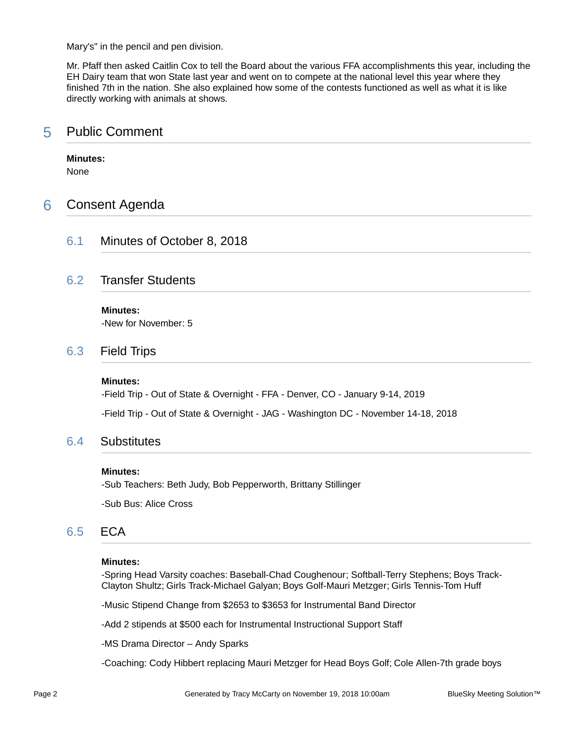Mary's" in the pencil and pen division.

Mr. Pfaff then asked Caitlin Cox to tell the Board about the various FFA accomplishments this year, including the EH Dairy team that won State last year and went on to compete at the national level this year where they finished 7th in the nation. She also explained how some of the contests functioned as well as what it is like directly working with animals at shows.

### 5 Public Comment

### **Minutes:**

None

### 6 Consent Agenda

6.1 Minutes of October 8, 2018

### 6.2 Transfer Students

**Minutes:**

-New for November: 5

### 6.3 Field Trips

#### **Minutes:**

-Field Trip - Out of State & Overnight - FFA - Denver, CO - January 9-14, 2019

-Field Trip - Out of State & Overnight - JAG - Washington DC - November 14-18, 2018

### 6.4 Substitutes

### **Minutes:**

-Sub Teachers: Beth Judy, Bob Pepperworth, Brittany Stillinger

-Sub Bus: Alice Cross

### 6.5 ECA

#### **Minutes:**

-Spring Head Varsity coaches: Baseball-Chad Coughenour; Softball-Terry Stephens; Boys Track-Clayton Shultz; Girls Track-Michael Galyan; Boys Golf-Mauri Metzger; Girls Tennis-Tom Huff

-Music Stipend Change from \$2653 to \$3653 for Instrumental Band Director

-Add 2 stipends at \$500 each for Instrumental Instructional Support Staff

-MS Drama Director – Andy Sparks

-Coaching: Cody Hibbert replacing Mauri Metzger for Head Boys Golf; Cole Allen-7th grade boys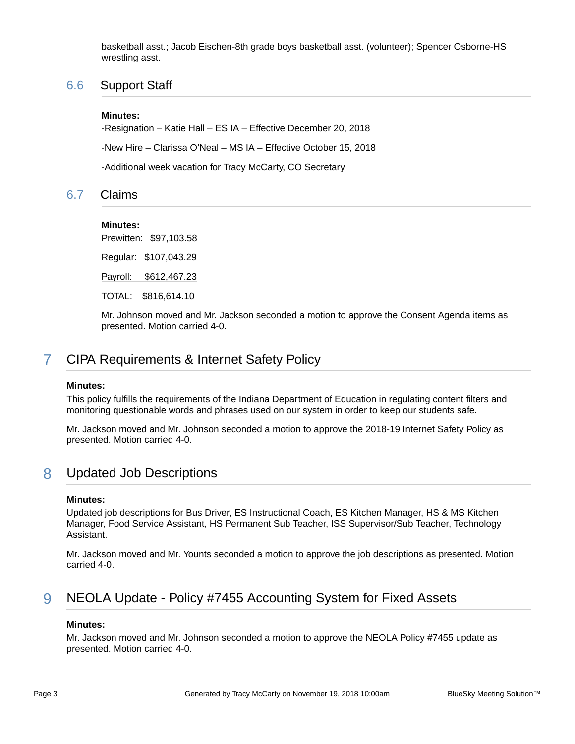basketball asst.; Jacob Eischen-8th grade boys basketball asst. (volunteer); Spencer Osborne-HS wrestling asst.

### 6.6 Support Staff

### **Minutes:**

-Resignation – Katie Hall – ES IA – Effective December 20, 2018 -New Hire – Clarissa O'Neal – MS IA – Effective October 15, 2018

-Additional week vacation for Tracy McCarty, CO Secretary

### 6.7 Claims

### **Minutes:**

Prewitten: \$97,103.58

Regular: \$107,043.29

Payroll: \$612,467.23

TOTAL: \$816,614.10

Mr. Johnson moved and Mr. Jackson seconded a motion to approve the Consent Agenda items as presented. Motion carried 4-0.

# 7 CIPA Requirements & Internet Safety Policy

### **Minutes:**

This policy fulfills the requirements of the Indiana Department of Education in regulating content filters and monitoring questionable words and phrases used on our system in order to keep our students safe.

Mr. Jackson moved and Mr. Johnson seconded a motion to approve the 2018-19 Internet Safety Policy as presented. Motion carried 4-0.

### 8 Updated Job Descriptions

### **Minutes:**

Updated job descriptions for Bus Driver, ES Instructional Coach, ES Kitchen Manager, HS & MS Kitchen Manager, Food Service Assistant, HS Permanent Sub Teacher, ISS Supervisor/Sub Teacher, Technology Assistant.

Mr. Jackson moved and Mr. Younts seconded a motion to approve the job descriptions as presented. Motion carried 4-0.

# 9 NEOLA Update - Policy #7455 Accounting System for Fixed Assets

### **Minutes:**

Mr. Jackson moved and Mr. Johnson seconded a motion to approve the NEOLA Policy #7455 update as presented. Motion carried 4-0.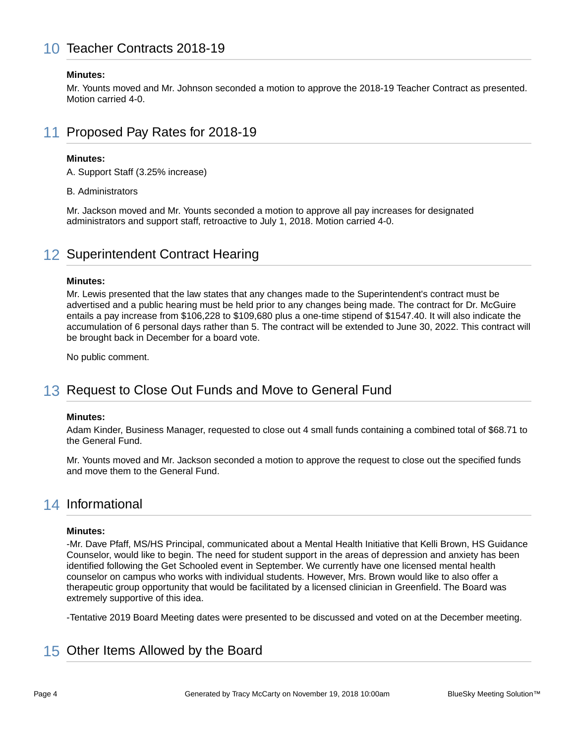# 10 Teacher Contracts 2018-19

### **Minutes:**

Mr. Younts moved and Mr. Johnson seconded a motion to approve the 2018-19 Teacher Contract as presented. Motion carried 4-0.

# 11 Proposed Pay Rates for 2018-19

#### **Minutes:**

A. Support Staff (3.25% increase)

B. Administrators

Mr. Jackson moved and Mr. Younts seconded a motion to approve all pay increases for designated administrators and support staff, retroactive to July 1, 2018. Motion carried 4-0.

# 12 Superintendent Contract Hearing

#### **Minutes:**

Mr. Lewis presented that the law states that any changes made to the Superintendent's contract must be advertised and a public hearing must be held prior to any changes being made. The contract for Dr. McGuire entails a pay increase from \$106,228 to \$109,680 plus a one-time stipend of \$1547.40. It will also indicate the accumulation of 6 personal days rather than 5. The contract will be extended to June 30, 2022. This contract will be brought back in December for a board vote.

No public comment.

# 13 Request to Close Out Funds and Move to General Fund

### **Minutes:**

Adam Kinder, Business Manager, requested to close out 4 small funds containing a combined total of \$68.71 to the General Fund.

Mr. Younts moved and Mr. Jackson seconded a motion to approve the request to close out the specified funds and move them to the General Fund.

### 14 Informational

#### **Minutes:**

-Mr. Dave Pfaff, MS/HS Principal, communicated about a Mental Health Initiative that Kelli Brown, HS Guidance Counselor, would like to begin. The need for student support in the areas of depression and anxiety has been identified following the Get Schooled event in September. We currently have one licensed mental health counselor on campus who works with individual students. However, Mrs. Brown would like to also offer a therapeutic group opportunity that would be facilitated by a licensed clinician in Greenfield. The Board was extremely supportive of this idea.

-Tentative 2019 Board Meeting dates were presented to be discussed and voted on at the December meeting.

# 15 Other Items Allowed by the Board